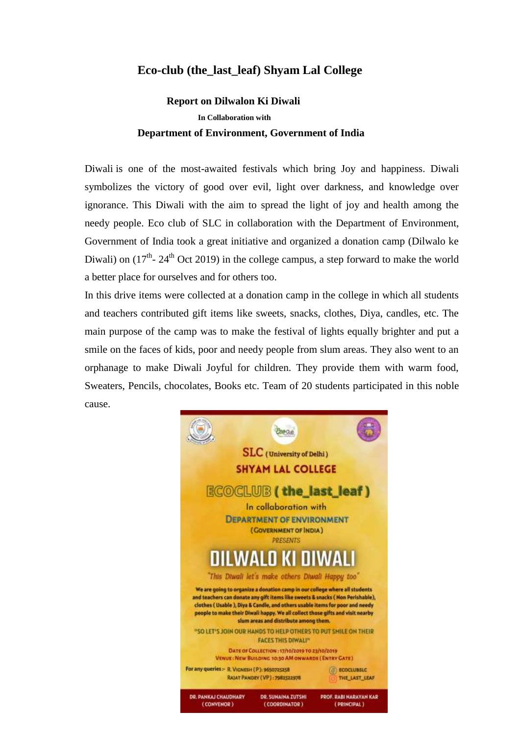## **Eco-club (the\_last\_leaf) Shyam Lal College**

## **Report on Dilwalon Ki Diwali In Collaboration with Department of Environment, Government of India**

Diwali is one of the most-awaited festivals which bring Joy and happiness. Diwali symbolizes the victory of good over evil, light over darkness, and knowledge over ignorance. This Diwali with the aim to spread the light of joy and health among the needy people. Eco club of SLC in collaboration with the Department of Environment, Government of India took a great initiative and organized a donation camp (Dilwalo ke Diwali) on  $(17<sup>th</sup> - 24<sup>th</sup>$  Oct 2019) in the college campus, a step forward to make the world a better place for ourselves and for others too.

In this drive items were collected at a donation camp in the college in which all students and teachers contributed gift items like sweets, snacks, clothes, Diya, candles, etc. The main purpose of the camp was to make the festival of lights equally brighter and put a smile on the faces of kids, poor and needy people from slum areas. They also went to an orphanage to make Diwali Joyful for children. They provide them with warm food, Sweaters, Pencils, chocolates, Books etc. Team of 20 students participated in this noble cause.